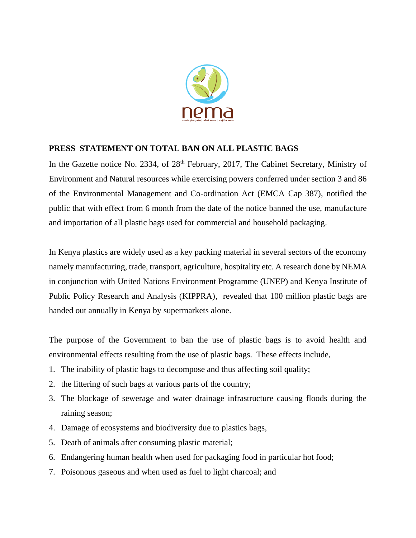

## **PRESS STATEMENT ON TOTAL BAN ON ALL PLASTIC BAGS**

In the Gazette notice No. 2334, of 28<sup>th</sup> February, 2017, The Cabinet Secretary, Ministry of Environment and Natural resources while exercising powers conferred under section 3 and 86 of the Environmental Management and Co-ordination Act (EMCA Cap 387), notified the public that with effect from 6 month from the date of the notice banned the use, manufacture and importation of all plastic bags used for commercial and household packaging.

In Kenya plastics are widely used as a key packing material in several sectors of the economy namely manufacturing, trade, transport, agriculture, hospitality etc. A research done by NEMA in conjunction with United Nations Environment Programme (UNEP) and Kenya Institute of Public Policy Research and Analysis (KIPPRA), revealed that 100 million plastic bags are handed out annually in Kenya by supermarkets alone.

The purpose of the Government to ban the use of plastic bags is to avoid health and environmental effects resulting from the use of plastic bags. These effects include,

- 1. The inability of plastic bags to decompose and thus affecting soil quality;
- 2. the littering of such bags at various parts of the country;
- 3. The blockage of sewerage and water drainage infrastructure causing floods during the raining season;
- 4. Damage of ecosystems and biodiversity due to plastics bags,
- 5. Death of animals after consuming plastic material;
- 6. Endangering human health when used for packaging food in particular hot food;
- 7. Poisonous gaseous and when used as fuel to light charcoal; and